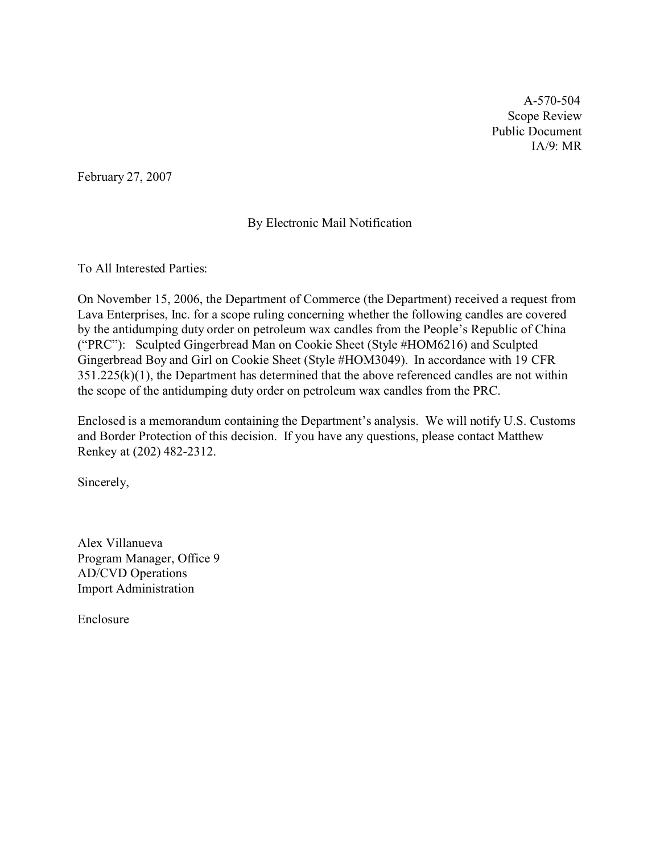A-570-504 Scope Review Public Document IA/9: MR

February 27, 2007

## By Electronic Mail Notification

To All Interested Parties:

On November 15, 2006, the Department of Commerce (the Department) received a request from Lava Enterprises, Inc. for a scope ruling concerning whether the following candles are covered by the antidumping duty order on petroleum wax candles from the People's Republic of China ("PRC"): Sculpted Gingerbread Man on Cookie Sheet (Style #HOM6216) and Sculpted Gingerbread Boy and Girl on Cookie Sheet (Style #HOM3049). In accordance with 19 CFR  $351.225(k)(1)$ , the Department has determined that the above referenced candles are not within the scope of the antidumping duty order on petroleum wax candles from the PRC.

Enclosed is a memorandum containing the Department's analysis. We will notify U.S. Customs and Border Protection of this decision. If you have any questions, please contact Matthew Renkey at (202) 482-2312.

Sincerely,

Alex Villanueva Program Manager, Office 9 AD/CVD Operations Import Administration

Enclosure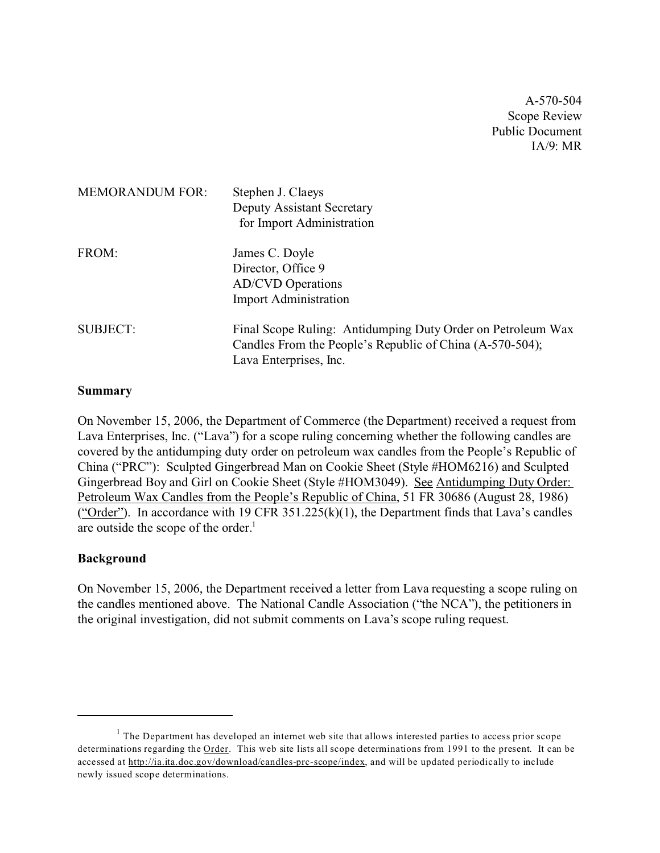A-570-504 Scope Review Public Document IA/9: MR

| <b>MEMORANDUM FOR:</b> | Stephen J. Claeys<br>Deputy Assistant Secretary<br>for Import Administration                                                                      |
|------------------------|---------------------------------------------------------------------------------------------------------------------------------------------------|
| FROM:                  | James C. Doyle<br>Director, Office 9<br><b>AD/CVD</b> Operations<br><b>Import Administration</b>                                                  |
| <b>SUBJECT:</b>        | Final Scope Ruling: Antidumping Duty Order on Petroleum Wax<br>Candles From the People's Republic of China (A-570-504);<br>Lava Enterprises, Inc. |

#### **Summary**

On November 15, 2006, the Department of Commerce (the Department) received a request from Lava Enterprises, Inc. ("Lava") for a scope ruling concerning whether the following candles are covered by the antidumping duty order on petroleum wax candles from the People's Republic of China ("PRC"): Sculpted Gingerbread Man on Cookie Sheet (Style #HOM6216) and Sculpted Gingerbread Boy and Girl on Cookie Sheet (Style #HOM3049). See Antidumping Duty Order: Petroleum Wax Candles from the People's Republic of China, 51 FR 30686 (August 28, 1986) ("Order"). In accordance with 19 CFR 351.225 $(k)(1)$ , the Department finds that Lava's candles are outside the scope of the order. $<sup>1</sup>$ </sup>

#### **Background**

On November 15, 2006, the Department received a letter from Lava requesting a scope ruling on the candles mentioned above. The National Candle Association ("the NCA"), the petitioners in the original investigation, did not submit comments on Lava's scope ruling request.

 $<sup>1</sup>$  The Department has developed an internet web site that allows interested parties to access prior scope</sup> determinations regarding the Order. This web site lists all scope determinations from 1991 to the present. It can be accessed at [http://ia.ita.doc.gov/download/candles-prc-scope/index,](http://ia.ita.doc.gov/download/candles-prc-scope/,) and will be updated periodically to include newly issued scope determinations.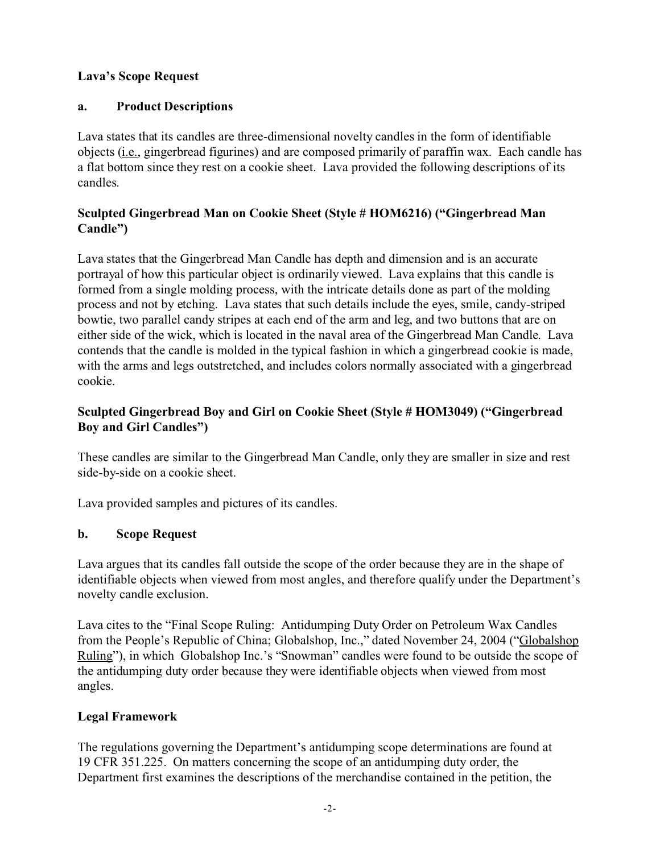## **Lava's Scope Request**

# **a. Product Descriptions**

Lava states that its candles are three-dimensional novelty candles in the form of identifiable objects (i.e., gingerbread figurines) and are composed primarily of paraffin wax. Each candle has a flat bottom since they rest on a cookie sheet. Lava provided the following descriptions of its candles.

# **Sculpted Gingerbread Man on Cookie Sheet (Style # HOM6216) ("Gingerbread Man Candle")**

Lava states that the Gingerbread Man Candle has depth and dimension and is an accurate portrayal of how this particular object is ordinarily viewed. Lava explains that this candle is formed from a single molding process, with the intricate details done as part of the molding process and not by etching. Lava states that such details include the eyes, smile, candy-striped bowtie, two parallel candy stripes at each end of the arm and leg, and two buttons that are on either side of the wick, which is located in the naval area of the Gingerbread Man Candle. Lava contends that the candle is molded in the typical fashion in which a gingerbread cookie is made, with the arms and legs outstretched, and includes colors normally associated with a gingerbread cookie.

# **Sculpted Gingerbread Boy and Girl on Cookie Sheet (Style # HOM3049) ("Gingerbread Boy and Girl Candles")**

These candles are similar to the Gingerbread Man Candle, only they are smaller in size and rest side-by-side on a cookie sheet.

Lava provided samples and pictures of its candles.

# **b. Scope Request**

Lava argues that its candles fall outside the scope of the order because they are in the shape of identifiable objects when viewed from most angles, and therefore qualify under the Department's novelty candle exclusion.

Lava cites to the "Final Scope Ruling: Antidumping Duty Order on Petroleum Wax Candles from the People's Republic of China; Globalshop, Inc.," dated November 24, 2004 ("Globalshop Ruling"), in which Globalshop Inc.'s "Snowman" candles were found to be outside the scope of the antidumping duty order because they were identifiable objects when viewed from most angles.

## **Legal Framework**

The regulations governing the Department's antidumping scope determinations are found at 19 CFR 351.225. On matters concerning the scope of an antidumping duty order, the Department first examines the descriptions of the merchandise contained in the petition, the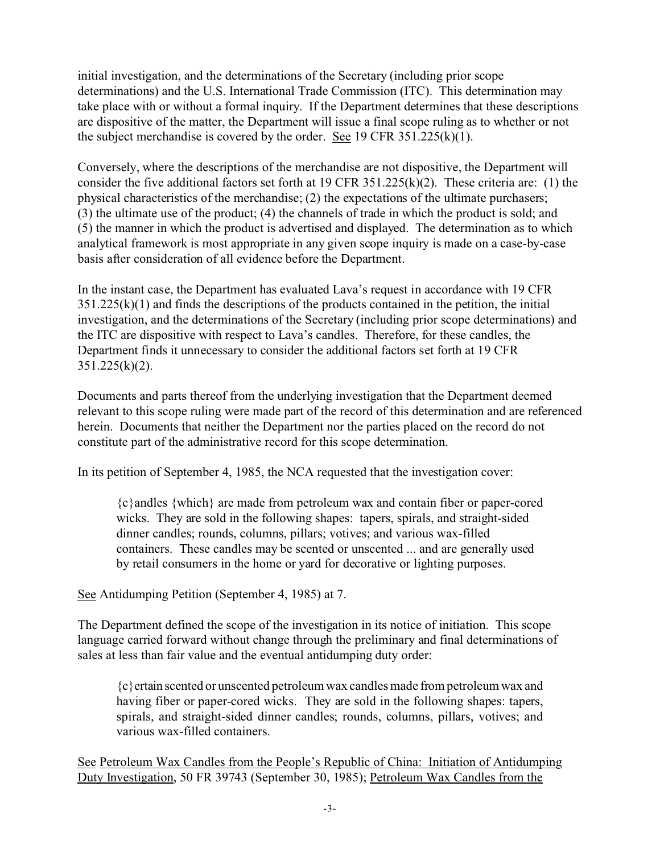initial investigation, and the determinations of the Secretary (including prior scope determinations) and the U.S. International Trade Commission (ITC). This determination may take place with or without a formal inquiry. If the Department determines that these descriptions are dispositive of the matter, the Department will issue a final scope ruling as to whether or not the subject merchandise is covered by the order. See 19 CFR  $351.225(k)(1)$ .

Conversely, where the descriptions of the merchandise are not dispositive, the Department will consider the five additional factors set forth at 19 CFR 351.225(k)(2). These criteria are: (1) the physical characteristics of the merchandise; (2) the expectations of the ultimate purchasers; (3) the ultimate use of the product; (4) the channels of trade in which the product is sold; and (5) the manner in which the product is advertised and displayed. The determination as to which analytical framework is most appropriate in any given scope inquiry is made on a case-by-case basis after consideration of all evidence before the Department.

In the instant case, the Department has evaluated Lava's request in accordance with 19 CFR  $351.225(k)(1)$  and finds the descriptions of the products contained in the petition, the initial investigation, and the determinations of the Secretary (including prior scope determinations) and the ITC are dispositive with respect to Lava's candles. Therefore, for these candles, the Department finds it unnecessary to consider the additional factors set forth at 19 CFR  $351.225(k)(2)$ .

Documents and parts thereof from the underlying investigation that the Department deemed relevant to this scope ruling were made part of the record of this determination and are referenced herein. Documents that neither the Department nor the parties placed on the record do not constitute part of the administrative record for this scope determination.

In its petition of September 4, 1985, the NCA requested that the investigation cover:

{c}andles {which} are made from petroleum wax and contain fiber or paper-cored wicks. They are sold in the following shapes: tapers, spirals, and straight-sided dinner candles; rounds, columns, pillars; votives; and various wax-filled containers. These candles may be scented or unscented ... and are generally used by retail consumers in the home or yard for decorative or lighting purposes.

## See Antidumping Petition (September 4, 1985) at 7.

The Department defined the scope of the investigation in its notice of initiation. This scope language carried forward without change through the preliminary and final determinations of sales at less than fair value and the eventual antidumping duty order:

{c}ertain scented or unscented petroleum wax candles made from petroleum wax and having fiber or paper-cored wicks. They are sold in the following shapes: tapers, spirals, and straight-sided dinner candles; rounds, columns, pillars, votives; and various wax-filled containers.

See Petroleum Wax Candles from the People's Republic of China: Initiation of Antidumping Duty Investigation, 50 FR 39743 (September 30, 1985); Petroleum Wax Candles from the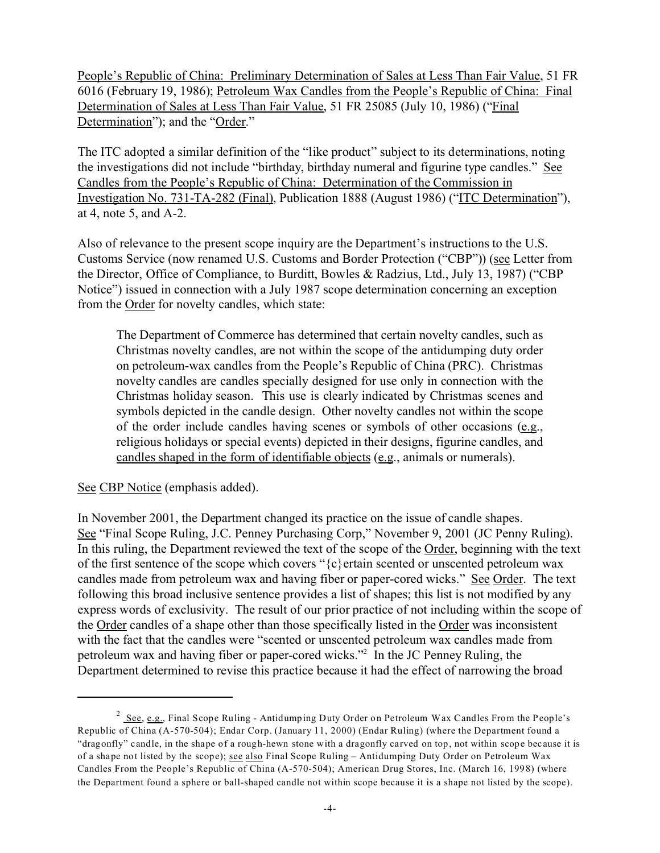People's Republic of China: Preliminary Determination of Sales at Less Than Fair Value, 51 FR 6016 (February 19, 1986); Petroleum Wax Candles from the People's Republic of China: Final Determination of Sales at Less Than Fair Value, 51 FR 25085 (July 10, 1986) ("Final Determination"); and the "Order."

The ITC adopted a similar definition of the "like product" subject to its determinations, noting the investigations did not include "birthday, birthday numeral and figurine type candles." See Candles from the People's Republic of China: Determination of the Commission in Investigation No. 731-TA-282 (Final), Publication 1888 (August 1986) ("ITC Determination"), at 4, note 5, and A-2.

Also of relevance to the present scope inquiry are the Department's instructions to the U.S. Customs Service (now renamed U.S. Customs and Border Protection ("CBP")) (see Letter from the Director, Office of Compliance, to Burditt, Bowles & Radzius, Ltd., July 13, 1987) ("CBP Notice") issued in connection with a July 1987 scope determination concerning an exception from the Order for novelty candles, which state:

The Department of Commerce has determined that certain novelty candles, such as Christmas novelty candles, are not within the scope of the antidumping duty order on petroleum-wax candles from the People's Republic of China (PRC). Christmas novelty candles are candles specially designed for use only in connection with the Christmas holiday season. This use is clearly indicated by Christmas scenes and symbols depicted in the candle design. Other novelty candles not within the scope of the order include candles having scenes or symbols of other occasions (e.g., religious holidays or special events) depicted in their designs, figurine candles, and candles shaped in the form of identifiable objects (e.g., animals or numerals).

See CBP Notice (emphasis added).

In November 2001, the Department changed its practice on the issue of candle shapes. See "Final Scope Ruling, J.C. Penney Purchasing Corp," November 9, 2001 (JC Penny Ruling). In this ruling, the Department reviewed the text of the scope of the Order, beginning with the text of the first sentence of the scope which covers " ${c}$ } ertain scented or unscented petroleum wax candles made from petroleum wax and having fiber or paper-cored wicks." See Order. The text following this broad inclusive sentence provides a list of shapes; this list is not modified by any express words of exclusivity. The result of our prior practice of not including within the scope of the Order candles of a shape other than those specifically listed in the Order was inconsistent with the fact that the candles were "scented or unscented petroleum wax candles made from petroleum wax and having fiber or paper-cored wicks."<sup>2</sup> In the JC Penney Ruling, the Department determined to revise this practice because it had the effect of narrowing the broad

 $2$  See, e.g., Final Scope Ruling - Antidumping Duty Order on Petroleum Wax Candles From the People's Republic of China (A-570-504); Endar Corp. (January 11, 2000) (Endar Ruling) (where the Department found a "dragonfly" candle, in the shape of a rough-hewn stone with a dragonfly carved on top, not within scope because it is of a shape not listed by the scope); see also Final Scope Ruling – Antidumping Duty Order on Petroleum Wax Candles From the People's Republic of China (A-570-504); American Drug Stores, Inc. (March 16, 1998) (where the Department found a sphere or ball-shaped candle not within scope because it is a shape not listed by the scope).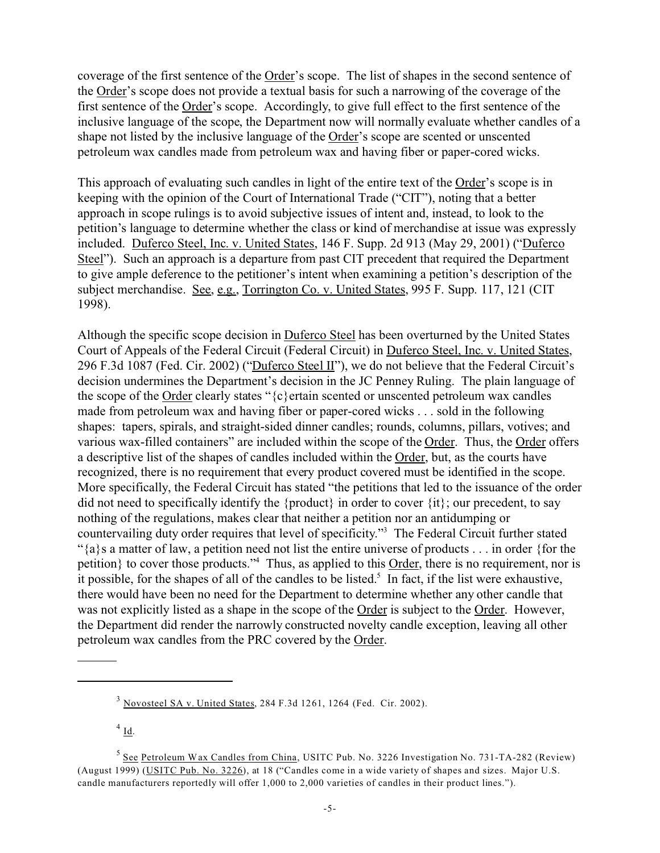coverage of the first sentence of the Order's scope. The list of shapes in the second sentence of the Order's scope does not provide a textual basis for such a narrowing of the coverage of the first sentence of the Order's scope. Accordingly, to give full effect to the first sentence of the inclusive language of the scope, the Department now will normally evaluate whether candles of a shape not listed by the inclusive language of the Order's scope are scented or unscented petroleum wax candles made from petroleum wax and having fiber or paper-cored wicks.

This approach of evaluating such candles in light of the entire text of the Order's scope is in keeping with the opinion of the Court of International Trade ("CIT"), noting that a better approach in scope rulings is to avoid subjective issues of intent and, instead, to look to the petition's language to determine whether the class or kind of merchandise at issue was expressly included. Duferco Steel, Inc. v. United States, 146 F. Supp. 2d 913 (May 29, 2001) ("Duferco Steel"). Such an approach is a departure from past CIT precedent that required the Department to give ample deference to the petitioner's intent when examining a petition's description of the subject merchandise. See, e.g., Torrington Co. v. United States, 995 F. Supp. 117, 121 (CIT 1998).

Although the specific scope decision in Duferco Steel has been overturned by the United States Court of Appeals of the Federal Circuit (Federal Circuit) in Duferco Steel, Inc. v. United States, 296 F.3d 1087 (Fed. Cir. 2002) ("Duferco Steel II"), we do not believe that the Federal Circuit's decision undermines the Department's decision in the JC Penney Ruling. The plain language of the scope of the Order clearly states "{c}ertain scented or unscented petroleum wax candles made from petroleum wax and having fiber or paper-cored wicks . . . sold in the following shapes: tapers, spirals, and straight-sided dinner candles; rounds, columns, pillars, votives; and various wax-filled containers" are included within the scope of the Order. Thus, the Order offers a descriptive list of the shapes of candles included within the Order, but, as the courts have recognized, there is no requirement that every product covered must be identified in the scope. More specifically, the Federal Circuit has stated "the petitions that led to the issuance of the order did not need to specifically identify the {product} in order to cover {it}; our precedent, to say nothing of the regulations, makes clear that neither a petition nor an antidumping or countervailing duty order requires that level of specificity."<sup>3</sup> The Federal Circuit further stated " ${a}$ s a matter of law, a petition need not list the entire universe of products . . . in order {for the petition} to cover those products."<sup>4</sup> Thus, as applied to this **Order**, there is no requirement, nor is it possible, for the shapes of all of the candles to be listed.<sup>5</sup> In fact, if the list were exhaustive, there would have been no need for the Department to determine whether any other candle that was not explicitly listed as a shape in the scope of the Order is subject to the Order. However, the Department did render the narrowly constructed novelty candle exception, leaving all other petroleum wax candles from the PRC covered by the Order.

 $^{4}$  Id.

<sup>3</sup> Novosteel SA v. United States, 284 F.3d 1261, 1264 (Fed. Cir. 2002).

<sup>&</sup>lt;sup>5</sup> See Petroleum Wax Candles from China, USITC Pub. No. 3226 Investigation No. 731-TA-282 (Review) (August 1999) (USITC Pub. No. 3226), at 18 ("Candles come in a wide variety of shapes and sizes. Major U.S. candle manufacturers reportedly will offer 1,000 to 2,000 varieties of candles in their product lines.").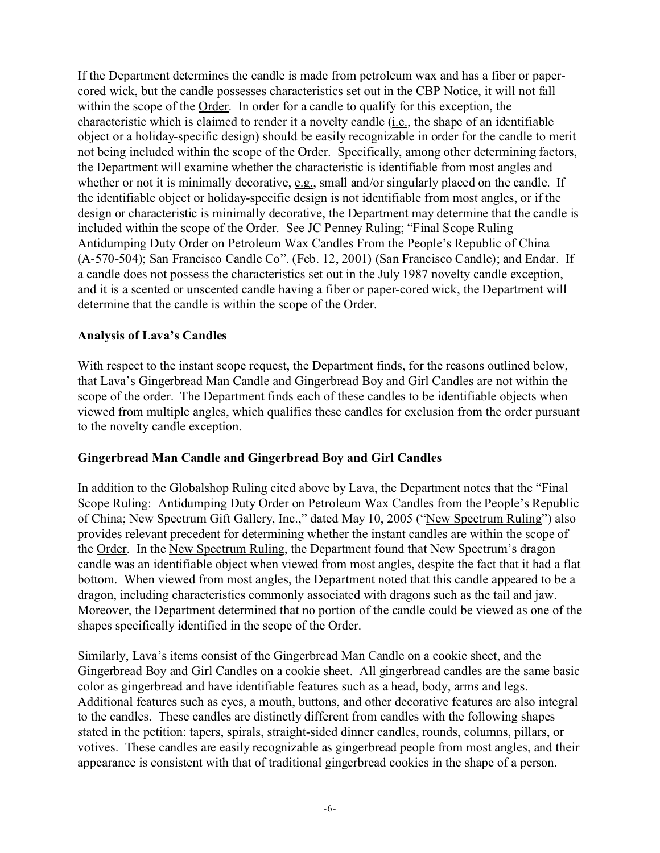If the Department determines the candle is made from petroleum wax and has a fiber or papercored wick, but the candle possesses characteristics set out in the CBP Notice, it will not fall within the scope of the Order. In order for a candle to qualify for this exception, the characteristic which is claimed to render it a novelty candle (i.e., the shape of an identifiable object or a holiday-specific design) should be easily recognizable in order for the candle to merit not being included within the scope of the Order. Specifically, among other determining factors, the Department will examine whether the characteristic is identifiable from most angles and whether or not it is minimally decorative,  $e.g.,$  small and/or singularly placed on the candle. If the identifiable object or holiday-specific design is not identifiable from most angles, or if the design or characteristic is minimally decorative, the Department may determine that the candle is included within the scope of the Order. See JC Penney Ruling; "Final Scope Ruling – Antidumping Duty Order on Petroleum Wax Candles From the People's Republic of China (A-570-504); San Francisco Candle Co". (Feb. 12, 2001) (San Francisco Candle); and Endar. If a candle does not possess the characteristics set out in the July 1987 novelty candle exception, and it is a scented or unscented candle having a fiber or paper-cored wick, the Department will determine that the candle is within the scope of the Order.

#### **Analysis of Lava's Candles**

With respect to the instant scope request, the Department finds, for the reasons outlined below, that Lava's Gingerbread Man Candle and Gingerbread Boy and Girl Candles are not within the scope of the order. The Department finds each of these candles to be identifiable objects when viewed from multiple angles, which qualifies these candles for exclusion from the order pursuant to the novelty candle exception.

#### **Gingerbread Man Candle and Gingerbread Boy and Girl Candles**

In addition to the Globalshop Ruling cited above by Lava, the Department notes that the "Final Scope Ruling: Antidumping Duty Order on Petroleum Wax Candles from the People's Republic of China; New Spectrum Gift Gallery, Inc.," dated May 10, 2005 ("New Spectrum Ruling") also provides relevant precedent for determining whether the instant candles are within the scope of the Order. In the New Spectrum Ruling, the Department found that New Spectrum's dragon candle was an identifiable object when viewed from most angles, despite the fact that it had a flat bottom. When viewed from most angles, the Department noted that this candle appeared to be a dragon, including characteristics commonly associated with dragons such as the tail and jaw. Moreover, the Department determined that no portion of the candle could be viewed as one of the shapes specifically identified in the scope of the Order.

Similarly, Lava's items consist of the Gingerbread Man Candle on a cookie sheet, and the Gingerbread Boy and Girl Candles on a cookie sheet. All gingerbread candles are the same basic color as gingerbread and have identifiable features such as a head, body, arms and legs. Additional features such as eyes, a mouth, buttons, and other decorative features are also integral to the candles. These candles are distinctly different from candles with the following shapes stated in the petition: tapers, spirals, straight-sided dinner candles, rounds, columns, pillars, or votives. These candles are easily recognizable as gingerbread people from most angles, and their appearance is consistent with that of traditional gingerbread cookies in the shape of a person.